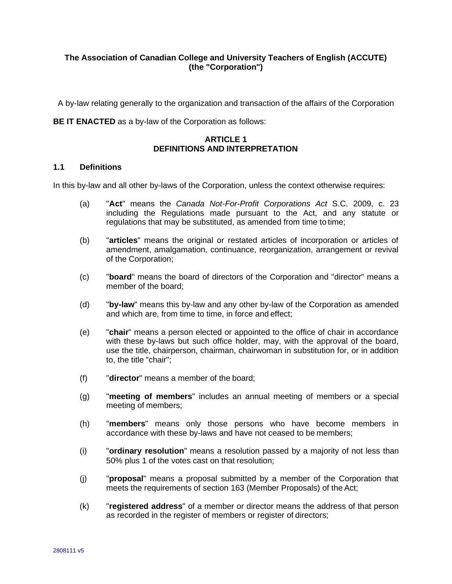# **The Association of Canadian College and University Teachers of English (ACCUTE) (the "Corporation")**

A by-law relating generally to the organization and transaction of the affairs of the Corporation

**BE IT ENACTED** as a by-law of the Corporation as follows:

# **ARTICLE 1 DEFINITIONS AND INTERPRETATION**

## **1.1 Definitions**

In this by-law and all other by-laws of the Corporation, unless the context otherwise requires:

- (a) "**Act**" means the *Canada Not-For-Profit Corporations Act* S.C. 2009, c. 23 including the Regulations made pursuant to the Act, and any statute or regulations that may be substituted, as amended from time to time;
- (b) "**articles**" means the original or restated articles of incorporation or articles of amendment, amalgamation, continuance, reorganization, arrangement or revival of the Corporation;
- (c) "**board**" means the board of directors of the Corporation and "director" means a member of the board;
- (d) "**by-law**" means this by-law and any other by-law of the Corporation as amended and which are, from time to time, in force and effect;
- (e) "**chair**" means a person elected or appointed to the office of chair in accordance with these by-laws but such office holder, may, with the approval of the board, use the title, chairperson, chairman, chairwoman in substitution for, or in addition to, the title "chair";
- (f) "**director**" means a member of the board;
- (g) "**meeting of members**" includes an annual meeting of members or a special meeting of members;
- (h) "**members**" means only those persons who have become members in accordance with these by-laws and have not ceased to be members;
- (i) "**ordinary resolution**" means a resolution passed by a majority of not less than 50% plus 1 of the votes cast on that resolution;
- (j) "**proposal**" means a proposal submitted by a member of the Corporation that meets the requirements of section 163 (Member Proposals) of the Act;
- (k) "**registered address**" of a member or director means the address of that person as recorded in the register of members or register of directors;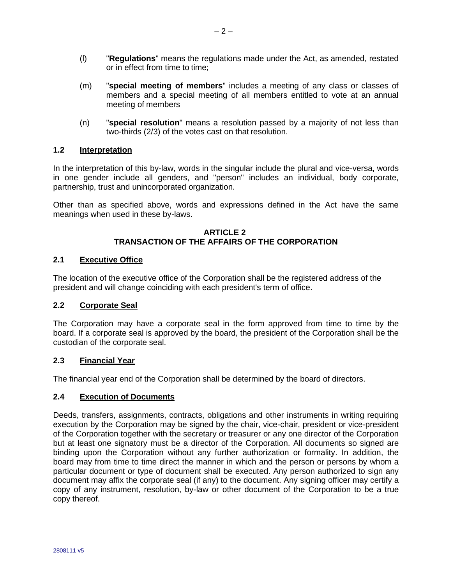- (l) "**Regulations**" means the regulations made under the Act, as amended, restated or in effect from time to time;
- (m) "**special meeting of members**" includes a meeting of any class or classes of members and a special meeting of all members entitled to vote at an annual meeting of members
- (n) "**special resolution**" means a resolution passed by a majority of not less than two-thirds (2/3) of the votes cast on that resolution.

# **1.2 Interpretation**

In the interpretation of this by-law, words in the singular include the plural and vice-versa, words in one gender include all genders, and "person" includes an individual, body corporate, partnership, trust and unincorporated organization.

Other than as specified above, words and expressions defined in the Act have the same meanings when used in these by-laws.

## **ARTICLE 2 TRANSACTION OF THE AFFAIRS OF THE CORPORATION**

# **2.1 Executive Office**

The location of the executive office of the Corporation shall be the registered address of the president and will change coinciding with each president's term of office.

## **2.2 Corporate Seal**

The Corporation may have a corporate seal in the form approved from time to time by the board. If a corporate seal is approved by the board, the president of the Corporation shall be the custodian of the corporate seal.

## **2.3 Financial Year**

The financial year end of the Corporation shall be determined by the board of directors.

## **2.4 Execution of Documents**

Deeds, transfers, assignments, contracts, obligations and other instruments in writing requiring execution by the Corporation may be signed by the chair, vice-chair, president or vice-president of the Corporation together with the secretary or treasurer or any one director of the Corporation but at least one signatory must be a director of the Corporation. All documents so signed are binding upon the Corporation without any further authorization or formality. In addition, the board may from time to time direct the manner in which and the person or persons by whom a particular document or type of document shall be executed. Any person authorized to sign any document may affix the corporate seal (if any) to the document. Any signing officer may certify a copy of any instrument, resolution, by-law or other document of the Corporation to be a true copy thereof.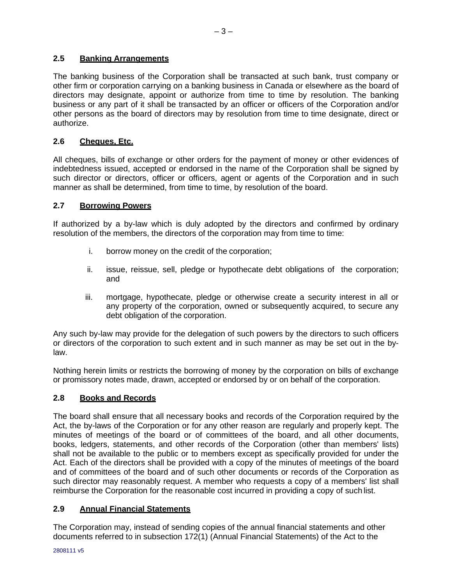# **2.5 Banking Arrangements**

The banking business of the Corporation shall be transacted at such bank, trust company or other firm or corporation carrying on a banking business in Canada or elsewhere as the board of directors may designate, appoint or authorize from time to time by resolution. The banking business or any part of it shall be transacted by an officer or officers of the Corporation and/or other persons as the board of directors may by resolution from time to time designate, direct or authorize.

# **2.6 Cheques, Etc.**

All cheques, bills of exchange or other orders for the payment of money or other evidences of indebtedness issued, accepted or endorsed in the name of the Corporation shall be signed by such director or directors, officer or officers, agent or agents of the Corporation and in such manner as shall be determined, from time to time, by resolution of the board.

# **2.7 Borrowing Powers**

If authorized by a by-law which is duly adopted by the directors and confirmed by ordinary resolution of the members, the directors of the corporation may from time to time:

- i. borrow money on the credit of the corporation;
- ii. issue, reissue, sell, pledge or hypothecate debt obligations of the corporation; and
- iii. mortgage, hypothecate, pledge or otherwise create a security interest in all or any property of the corporation, owned or subsequently acquired, to secure any debt obligation of the corporation.

Any such by-law may provide for the delegation of such powers by the directors to such officers or directors of the corporation to such extent and in such manner as may be set out in the bylaw.

Nothing herein limits or restricts the borrowing of money by the corporation on bills of exchange or promissory notes made, drawn, accepted or endorsed by or on behalf of the corporation.

## **2.8 Books and Records**

The board shall ensure that all necessary books and records of the Corporation required by the Act, the by-laws of the Corporation or for any other reason are regularly and properly kept. The minutes of meetings of the board or of committees of the board, and all other documents, books, ledgers, statements, and other records of the Corporation (other than members' lists) shall not be available to the public or to members except as specifically provided for under the Act. Each of the directors shall be provided with a copy of the minutes of meetings of the board and of committees of the board and of such other documents or records of the Corporation as such director may reasonably request. A member who requests a copy of a members' list shall reimburse the Corporation for the reasonable cost incurred in providing a copy of such list.

## **2.9 Annual Financial Statements**

The Corporation may, instead of sending copies of the annual financial statements and other documents referred to in subsection 172(1) (Annual Financial Statements) of the Act to the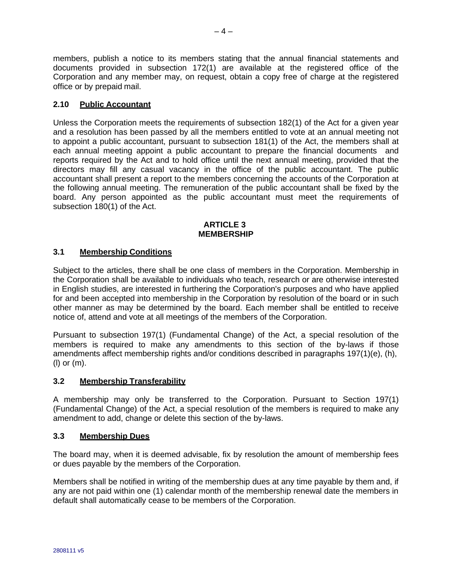members, publish a notice to its members stating that the annual financial statements and documents provided in subsection 172(1) are available at the registered office of the Corporation and any member may, on request, obtain a copy free of charge at the registered office or by prepaid mail.

# **2.10 Public Accountant**

Unless the Corporation meets the requirements of subsection 182(1) of the Act for a given year and a resolution has been passed by all the members entitled to vote at an annual meeting not to appoint a public accountant, pursuant to subsection 181(1) of the Act, the members shall at each annual meeting appoint a public accountant to prepare the financial documents and reports required by the Act and to hold office until the next annual meeting, provided that the directors may fill any casual vacancy in the office of the public accountant. The public accountant shall present a report to the members concerning the accounts of the Corporation at the following annual meeting. The remuneration of the public accountant shall be fixed by the board. Any person appointed as the public accountant must meet the requirements of subsection 180(1) of the Act.

#### **ARTICLE 3 MEMBERSHIP**

# **3.1 Membership Conditions**

Subject to the articles, there shall be one class of members in the Corporation. Membership in the Corporation shall be available to individuals who teach, research or are otherwise interested in English studies, are interested in furthering the Corporation's purposes and who have applied for and been accepted into membership in the Corporation by resolution of the board or in such other manner as may be determined by the board. Each member shall be entitled to receive notice of, attend and vote at all meetings of the members of the Corporation.

Pursuant to subsection 197(1) (Fundamental Change) of the Act, a special resolution of the members is required to make any amendments to this section of the by-laws if those amendments affect membership rights and/or conditions described in paragraphs 197(1)(e), (h), (l) or (m).

# **3.2 Membership Transferability**

A membership may only be transferred to the Corporation. Pursuant to Section 197(1) (Fundamental Change) of the Act, a special resolution of the members is required to make any amendment to add, change or delete this section of the by-laws.

# **3.3 Membership Dues**

The board may, when it is deemed advisable, fix by resolution the amount of membership fees or dues payable by the members of the Corporation.

Members shall be notified in writing of the membership dues at any time payable by them and, if any are not paid within one (1) calendar month of the membership renewal date the members in default shall automatically cease to be members of the Corporation.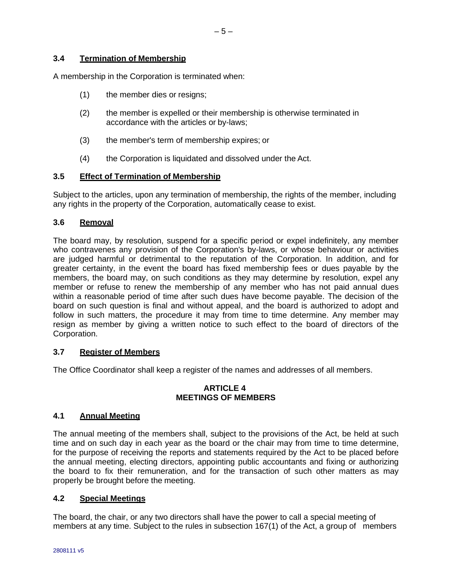# **3.4 Termination of Membership**

A membership in the Corporation is terminated when:

- (1) the member dies or resigns;
- (2) the member is expelled or their membership is otherwise terminated in accordance with the articles or by-laws;
- (3) the member's term of membership expires; or
- (4) the Corporation is liquidated and dissolved under the Act.

# **3.5 Effect of Termination of Membership**

Subject to the articles, upon any termination of membership, the rights of the member, including any rights in the property of the Corporation, automatically cease to exist.

# **3.6 Removal**

The board may, by resolution, suspend for a specific period or expel indefinitely, any member who contravenes any provision of the Corporation's by-laws, or whose behaviour or activities are judged harmful or detrimental to the reputation of the Corporation. In addition, and for greater certainty, in the event the board has fixed membership fees or dues payable by the members, the board may, on such conditions as they may determine by resolution, expel any member or refuse to renew the membership of any member who has not paid annual dues within a reasonable period of time after such dues have become payable. The decision of the board on such question is final and without appeal, and the board is authorized to adopt and follow in such matters, the procedure it may from time to time determine. Any member may resign as member by giving a written notice to such effect to the board of directors of the Corporation.

## **3.7 Register of Members**

The Office Coordinator shall keep a register of the names and addresses of all members.

## **ARTICLE 4 MEETINGS OF MEMBERS**

## **4.1 Annual Meeting**

The annual meeting of the members shall, subject to the provisions of the Act, be held at such time and on such day in each year as the board or the chair may from time to time determine, for the purpose of receiving the reports and statements required by the Act to be placed before the annual meeting, electing directors, appointing public accountants and fixing or authorizing the board to fix their remuneration, and for the transaction of such other matters as may properly be brought before the meeting.

# **4.2 Special Meetings**

The board, the chair, or any two directors shall have the power to call a special meeting of members at any time. Subject to the rules in subsection 167(1) of the Act, a group of members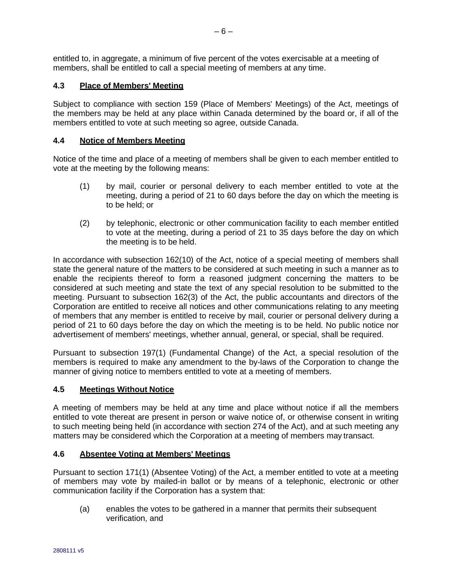entitled to, in aggregate, a minimum of five percent of the votes exercisable at a meeting of members, shall be entitled to call a special meeting of members at any time.

# **4.3 Place of Members' Meeting**

Subject to compliance with section 159 (Place of Members' Meetings) of the Act, meetings of the members may be held at any place within Canada determined by the board or, if all of the members entitled to vote at such meeting so agree, outside Canada.

## **4.4 Notice of Members Meeting**

Notice of the time and place of a meeting of members shall be given to each member entitled to vote at the meeting by the following means:

- (1) by mail, courier or personal delivery to each member entitled to vote at the meeting, during a period of 21 to 60 days before the day on which the meeting is to be held; or
- (2) by telephonic, electronic or other communication facility to each member entitled to vote at the meeting, during a period of 21 to 35 days before the day on which the meeting is to be held.

In accordance with subsection 162(10) of the Act, notice of a special meeting of members shall state the general nature of the matters to be considered at such meeting in such a manner as to enable the recipients thereof to form a reasoned judgment concerning the matters to be considered at such meeting and state the text of any special resolution to be submitted to the meeting. Pursuant to subsection 162(3) of the Act, the public accountants and directors of the Corporation are entitled to receive all notices and other communications relating to any meeting of members that any member is entitled to receive by mail, courier or personal delivery during a period of 21 to 60 days before the day on which the meeting is to be held. No public notice nor advertisement of members' meetings, whether annual, general, or special, shall be required.

Pursuant to subsection 197(1) (Fundamental Change) of the Act, a special resolution of the members is required to make any amendment to the by-laws of the Corporation to change the manner of giving notice to members entitled to vote at a meeting of members.

## **4.5 Meetings Without Notice**

A meeting of members may be held at any time and place without notice if all the members entitled to vote thereat are present in person or waive notice of, or otherwise consent in writing to such meeting being held (in accordance with section 274 of the Act), and at such meeting any matters may be considered which the Corporation at a meeting of members may transact.

## **4.6 Absentee Voting at Members' Meetings**

Pursuant to section 171(1) (Absentee Voting) of the Act, a member entitled to vote at a meeting of members may vote by mailed-in ballot or by means of a telephonic, electronic or other communication facility if the Corporation has a system that:

(a) enables the votes to be gathered in a manner that permits their subsequent verification, and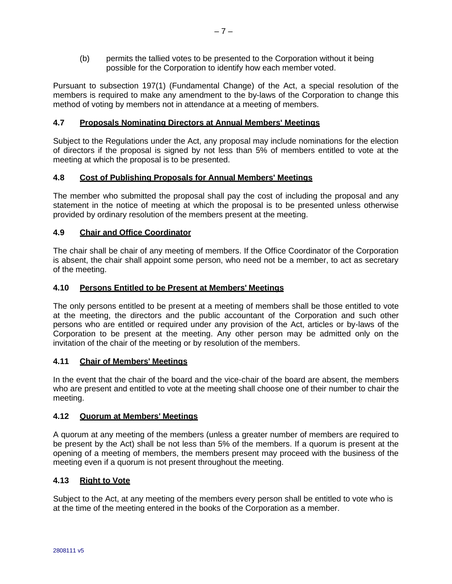(b) permits the tallied votes to be presented to the Corporation without it being possible for the Corporation to identify how each member voted.

Pursuant to subsection 197(1) (Fundamental Change) of the Act, a special resolution of the members is required to make any amendment to the by-laws of the Corporation to change this method of voting by members not in attendance at a meeting of members.

## **4.7 Proposals Nominating Directors at Annual Members' Meetings**

Subject to the Regulations under the Act, any proposal may include nominations for the election of directors if the proposal is signed by not less than 5% of members entitled to vote at the meeting at which the proposal is to be presented.

## **4.8 Cost of Publishing Proposals for Annual Members' Meetings**

The member who submitted the proposal shall pay the cost of including the proposal and any statement in the notice of meeting at which the proposal is to be presented unless otherwise provided by ordinary resolution of the members present at the meeting.

# **4.9 Chair and Office Coordinator**

The chair shall be chair of any meeting of members. If the Office Coordinator of the Corporation is absent, the chair shall appoint some person, who need not be a member, to act as secretary of the meeting.

## **4.10 Persons Entitled to be Present at Members' Meetings**

The only persons entitled to be present at a meeting of members shall be those entitled to vote at the meeting, the directors and the public accountant of the Corporation and such other persons who are entitled or required under any provision of the Act, articles or by-laws of the Corporation to be present at the meeting. Any other person may be admitted only on the invitation of the chair of the meeting or by resolution of the members.

# **4.11 Chair of Members' Meetings**

In the event that the chair of the board and the vice-chair of the board are absent, the members who are present and entitled to vote at the meeting shall choose one of their number to chair the meeting.

## **4.12 Quorum at Members' Meetings**

A quorum at any meeting of the members (unless a greater number of members are required to be present by the Act) shall be not less than 5% of the members. If a quorum is present at the opening of a meeting of members, the members present may proceed with the business of the meeting even if a quorum is not present throughout the meeting.

## **4.13 Right to Vote**

Subject to the Act, at any meeting of the members every person shall be entitled to vote who is at the time of the meeting entered in the books of the Corporation as a member.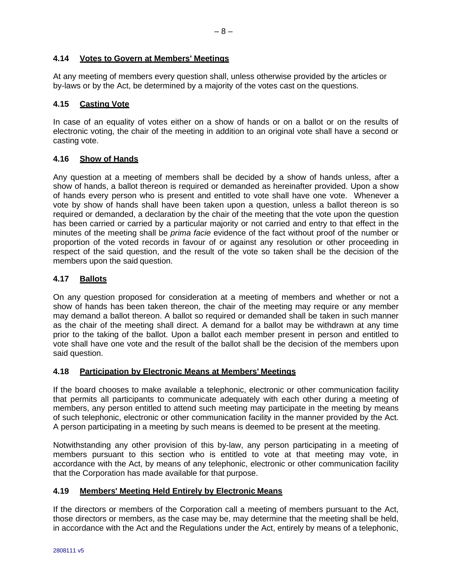# **4.14 Votes to Govern at Members' Meetings**

At any meeting of members every question shall, unless otherwise provided by the articles or by-laws or by the Act, be determined by a majority of the votes cast on the questions.

## **4.15 Casting Vote**

In case of an equality of votes either on a show of hands or on a ballot or on the results of electronic voting, the chair of the meeting in addition to an original vote shall have a second or casting vote.

# **4.16 Show of Hands**

Any question at a meeting of members shall be decided by a show of hands unless, after a show of hands, a ballot thereon is required or demanded as hereinafter provided. Upon a show of hands every person who is present and entitled to vote shall have one vote. Whenever a vote by show of hands shall have been taken upon a question, unless a ballot thereon is so required or demanded, a declaration by the chair of the meeting that the vote upon the question has been carried or carried by a particular majority or not carried and entry to that effect in the minutes of the meeting shall be *prima facie* evidence of the fact without proof of the number or proportion of the voted records in favour of or against any resolution or other proceeding in respect of the said question, and the result of the vote so taken shall be the decision of the members upon the said question.

# **4.17 Ballots**

On any question proposed for consideration at a meeting of members and whether or not a show of hands has been taken thereon, the chair of the meeting may require or any member may demand a ballot thereon. A ballot so required or demanded shall be taken in such manner as the chair of the meeting shall direct. A demand for a ballot may be withdrawn at any time prior to the taking of the ballot. Upon a ballot each member present in person and entitled to vote shall have one vote and the result of the ballot shall be the decision of the members upon said question.

## **4.18 Participation by Electronic Means at Members' Meetings**

If the board chooses to make available a telephonic, electronic or other communication facility that permits all participants to communicate adequately with each other during a meeting of members, any person entitled to attend such meeting may participate in the meeting by means of such telephonic, electronic or other communication facility in the manner provided by the Act. A person participating in a meeting by such means is deemed to be present at the meeting.

Notwithstanding any other provision of this by-law, any person participating in a meeting of members pursuant to this section who is entitled to vote at that meeting may vote, in accordance with the Act, by means of any telephonic, electronic or other communication facility that the Corporation has made available for that purpose.

## **4.19 Members' Meeting Held Entirely by Electronic Means**

If the directors or members of the Corporation call a meeting of members pursuant to the Act, those directors or members, as the case may be, may determine that the meeting shall be held, in accordance with the Act and the Regulations under the Act, entirely by means of a telephonic,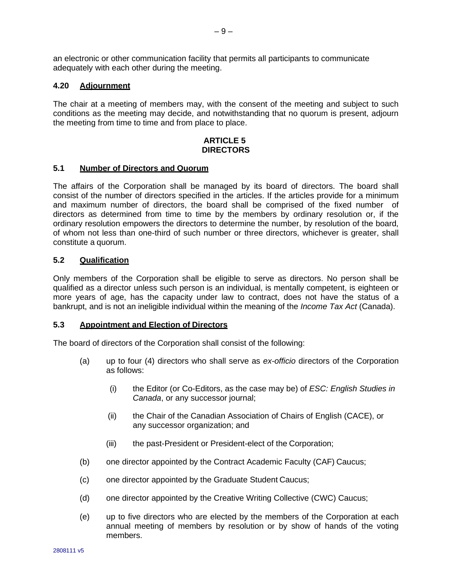an electronic or other communication facility that permits all participants to communicate adequately with each other during the meeting.

## **4.20 Adjournment**

The chair at a meeting of members may, with the consent of the meeting and subject to such conditions as the meeting may decide, and notwithstanding that no quorum is present, adjourn the meeting from time to time and from place to place.

#### **ARTICLE 5 DIRECTORS**

#### **5.1 Number of Directors and Quorum**

The affairs of the Corporation shall be managed by its board of directors. The board shall consist of the number of directors specified in the articles. If the articles provide for a minimum and maximum number of directors, the board shall be comprised of the fixed number of directors as determined from time to time by the members by ordinary resolution or, if the ordinary resolution empowers the directors to determine the number, by resolution of the board, of whom not less than one-third of such number or three directors, whichever is greater, shall constitute a quorum.

# **5.2 Qualification**

Only members of the Corporation shall be eligible to serve as directors. No person shall be qualified as a director unless such person is an individual, is mentally competent, is eighteen or more years of age, has the capacity under law to contract, does not have the status of a bankrupt, and is not an ineligible individual within the meaning of the *Income Tax Act* (Canada).

#### **5.3 Appointment and Election of Directors**

<span id="page-8-0"></span>The board of directors of the Corporation shall consist of the following:

- (a) up to four (4) directors who shall serve as *ex-officio* directors of the Corporation as follows:
	- (i) the Editor (or Co-Editors, as the case may be) of *ESC: English Studies in Canada*, or any successor journal;
	- (ii) the Chair of the Canadian Association of Chairs of English (CACE), or any successor organization; and
	- (iii) the past-President or President-elect of the Corporation;
- <span id="page-8-1"></span>(b) one director appointed by the Contract Academic Faculty (CAF) Caucus;
- <span id="page-8-2"></span>(c) one director appointed by the Graduate Student Caucus;
- (d) one director appointed by the Creative Writing Collective (CWC) Caucus;
- (e) up to five directors who are elected by the members of the Corporation at each annual meeting of members by resolution or by show of hands of the voting members.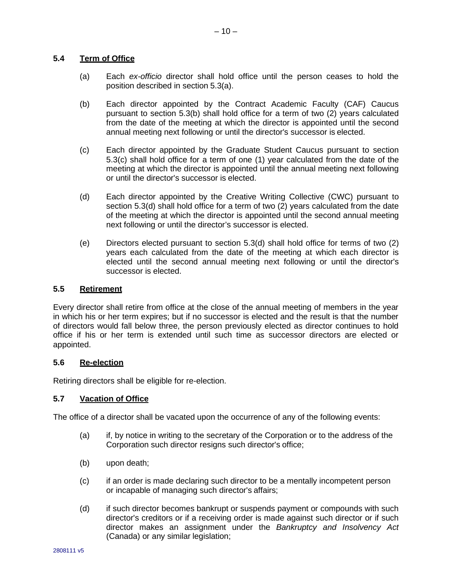# **5.4 Term of Office**

- (a) Each *ex-officio* director shall hold office until the person ceases to hold the position described in section [5.3\(a\).](#page-8-0)
- (b) Each director appointed by the Contract Academic Faculty (CAF) Caucus pursuant to section [5.3\(b\)](#page-8-1) shall hold office for a term of two (2) years calculated from the date of the meeting at which the director is appointed until the second annual meeting next following or until the director's successor is elected.
- (c) Each director appointed by the Graduate Student Caucus pursuant to section [5.3\(c\)](#page-8-2) shall hold office for a term of one (1) year calculated from the date of the meeting at which the director is appointed until the annual meeting next following or until the director's successor is elected.
- (d) Each director appointed by the Creative Writing Collective (CWC) pursuant to section 5.3(d) shall hold office for a term of two (2) years calculated from the date of the meeting at which the director is appointed until the second annual meeting next following or until the director's successor is elected.
- (e) Directors elected pursuant to section 5.3(d) shall hold office for terms of two (2) years each calculated from the date of the meeting at which each director is elected until the second annual meeting next following or until the director's successor is elected.

# **5.5 Retirement**

Every director shall retire from office at the close of the annual meeting of members in the year in which his or her term expires; but if no successor is elected and the result is that the number of directors would fall below three, the person previously elected as director continues to hold office if his or her term is extended until such time as successor directors are elected or appointed.

## **5.6 Re-election**

Retiring directors shall be eligible for re-election.

## **5.7 Vacation of Office**

The office of a director shall be vacated upon the occurrence of any of the following events:

- (a) if, by notice in writing to the secretary of the Corporation or to the address of the Corporation such director resigns such director's office;
- (b) upon death;
- (c) if an order is made declaring such director to be a mentally incompetent person or incapable of managing such director's affairs;
- (d) if such director becomes bankrupt or suspends payment or compounds with such director's creditors or if a receiving order is made against such director or if such director makes an assignment under the *Bankruptcy and Insolvency Act*  (Canada) or any similar legislation;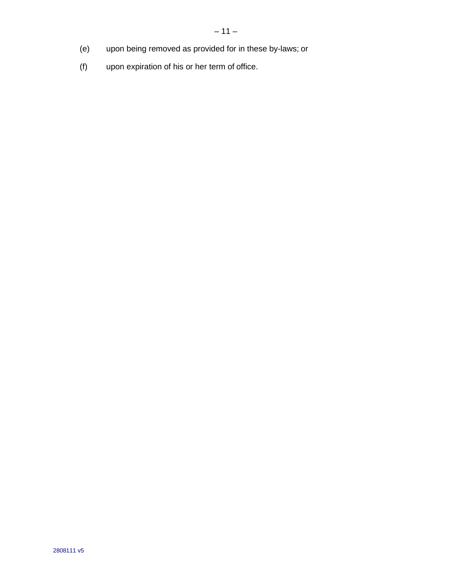- (e) upon being removed as provided for in these by-laws; or
- (f) upon expiration of his or her term of office.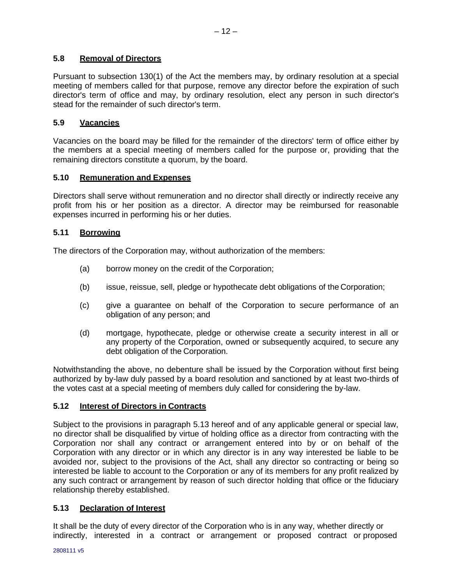# **5.8 Removal of Directors**

Pursuant to subsection 130(1) of the Act the members may, by ordinary resolution at a special meeting of members called for that purpose, remove any director before the expiration of such director's term of office and may, by ordinary resolution, elect any person in such director's stead for the remainder of such director's term.

# **5.9 Vacancies**

Vacancies on the board may be filled for the remainder of the directors' term of office either by the members at a special meeting of members called for the purpose or, providing that the remaining directors constitute a quorum, by the board.

# **5.10 Remuneration and Expenses**

Directors shall serve without remuneration and no director shall directly or indirectly receive any profit from his or her position as a director. A director may be reimbursed for reasonable expenses incurred in performing his or her duties.

# **5.11 Borrowing**

The directors of the Corporation may, without authorization of the members:

- (a) borrow money on the credit of the Corporation;
- (b) issue, reissue, sell, pledge or hypothecate debt obligations of the Corporation;
- (c) give a guarantee on behalf of the Corporation to secure performance of an obligation of any person; and
- (d) mortgage, hypothecate, pledge or otherwise create a security interest in all or any property of the Corporation, owned or subsequently acquired, to secure any debt obligation of the Corporation.

Notwithstanding the above, no debenture shall be issued by the Corporation without first being authorized by by-law duly passed by a board resolution and sanctioned by at least two-thirds of the votes cast at a special meeting of members duly called for considering the by-law.

# **5.12 Interest of Directors in Contracts**

Subject to the provisions in paragraph 5.13 hereof and of any applicable general or special law, no director shall be disqualified by virtue of holding office as a director from contracting with the Corporation nor shall any contract or arrangement entered into by or on behalf of the Corporation with any director or in which any director is in any way interested be liable to be avoided nor, subject to the provisions of the Act, shall any director so contracting or being so interested be liable to account to the Corporation or any of its members for any profit realized by any such contract or arrangement by reason of such director holding that office or the fiduciary relationship thereby established.

# **5.13 Declaration of Interest**

It shall be the duty of every director of the Corporation who is in any way, whether directly or indirectly, interested in a contract or arrangement or proposed contract or proposed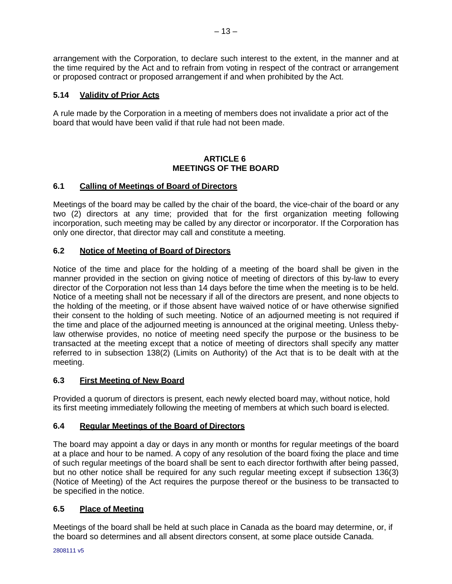arrangement with the Corporation, to declare such interest to the extent, in the manner and at the time required by the Act and to refrain from voting in respect of the contract or arrangement or proposed contract or proposed arrangement if and when prohibited by the Act.

# **5.14 Validity of Prior Acts**

A rule made by the Corporation in a meeting of members does not invalidate a prior act of the board that would have been valid if that rule had not been made.

# **ARTICLE 6 MEETINGS OF THE BOARD**

# **6.1 Calling of Meetings of Board of Directors**

Meetings of the board may be called by the chair of the board, the vice-chair of the board or any two (2) directors at any time; provided that for the first organization meeting following incorporation, such meeting may be called by any director or incorporator. If the Corporation has only one director, that director may call and constitute a meeting.

# **6.2 Notice of Meeting of Board of Directors**

Notice of the time and place for the holding of a meeting of the board shall be given in the manner provided in the section on giving notice of meeting of directors of this by-law to every director of the Corporation not less than 14 days before the time when the meeting is to be held. Notice of a meeting shall not be necessary if all of the directors are present, and none objects to the holding of the meeting, or if those absent have waived notice of or have otherwise signified their consent to the holding of such meeting. Notice of an adjourned meeting is not required if the time and place of the adjourned meeting is announced at the original meeting. Unless thebylaw otherwise provides, no notice of meeting need specify the purpose or the business to be transacted at the meeting except that a notice of meeting of directors shall specify any matter referred to in subsection 138(2) (Limits on Authority) of the Act that is to be dealt with at the meeting.

# **6.3 First Meeting of New Board**

Provided a quorum of directors is present, each newly elected board may, without notice, hold its first meeting immediately following the meeting of members at which such board is elected.

# **6.4 Regular Meetings of the Board of Directors**

The board may appoint a day or days in any month or months for regular meetings of the board at a place and hour to be named. A copy of any resolution of the board fixing the place and time of such regular meetings of the board shall be sent to each director forthwith after being passed, but no other notice shall be required for any such regular meeting except if subsection 136(3) (Notice of Meeting) of the Act requires the purpose thereof or the business to be transacted to be specified in the notice.

# **6.5 Place of Meeting**

Meetings of the board shall be held at such place in Canada as the board may determine, or, if the board so determines and all absent directors consent, at some place outside Canada.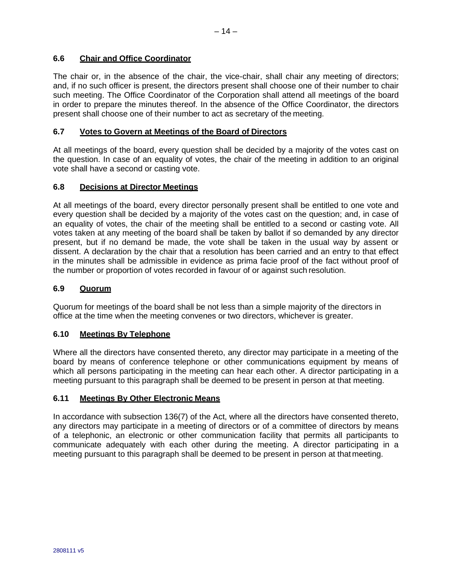# **6.6 Chair and Office Coordinator**

The chair or, in the absence of the chair, the vice-chair, shall chair any meeting of directors; and, if no such officer is present, the directors present shall choose one of their number to chair such meeting. The Office Coordinator of the Corporation shall attend all meetings of the board in order to prepare the minutes thereof. In the absence of the Office Coordinator, the directors present shall choose one of their number to act as secretary of the meeting.

# **6.7 Votes to Govern at Meetings of the Board of Directors**

At all meetings of the board, every question shall be decided by a majority of the votes cast on the question. In case of an equality of votes, the chair of the meeting in addition to an original vote shall have a second or casting vote.

# **6.8 Decisions at Director Meetings**

At all meetings of the board, every director personally present shall be entitled to one vote and every question shall be decided by a majority of the votes cast on the question; and, in case of an equality of votes, the chair of the meeting shall be entitled to a second or casting vote. All votes taken at any meeting of the board shall be taken by ballot if so demanded by any director present, but if no demand be made, the vote shall be taken in the usual way by assent or dissent. A declaration by the chair that a resolution has been carried and an entry to that effect in the minutes shall be admissible in evidence as prima facie proof of the fact without proof of the number or proportion of votes recorded in favour of or against such resolution.

# **6.9 Quorum**

Quorum for meetings of the board shall be not less than a simple majority of the directors in office at the time when the meeting convenes or two directors, whichever is greater.

## **6.10 Meetings By Telephone**

Where all the directors have consented thereto, any director may participate in a meeting of the board by means of conference telephone or other communications equipment by means of which all persons participating in the meeting can hear each other. A director participating in a meeting pursuant to this paragraph shall be deemed to be present in person at that meeting.

# **6.11 Meetings By Other Electronic Means**

In accordance with subsection 136(7) of the Act, where all the directors have consented thereto, any directors may participate in a meeting of directors or of a committee of directors by means of a telephonic, an electronic or other communication facility that permits all participants to communicate adequately with each other during the meeting. A director participating in a meeting pursuant to this paragraph shall be deemed to be present in person at that meeting.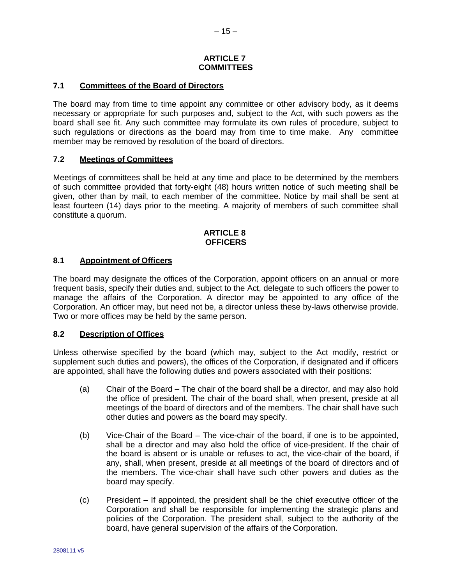## **ARTICLE 7 COMMITTEES**

# **7.1 Committees of the Board of Directors**

The board may from time to time appoint any committee or other advisory body, as it deems necessary or appropriate for such purposes and, subject to the Act, with such powers as the board shall see fit. Any such committee may formulate its own rules of procedure, subject to such regulations or directions as the board may from time to time make. Any committee member may be removed by resolution of the board of directors.

# **7.2 Meetings of Committees**

Meetings of committees shall be held at any time and place to be determined by the members of such committee provided that forty-eight (48) hours written notice of such meeting shall be given, other than by mail, to each member of the committee. Notice by mail shall be sent at least fourteen (14) days prior to the meeting. A majority of members of such committee shall constitute a quorum.

#### **ARTICLE 8 OFFICERS**

## **8.1 Appointment of Officers**

The board may designate the offices of the Corporation, appoint officers on an annual or more frequent basis, specify their duties and, subject to the Act, delegate to such officers the power to manage the affairs of the Corporation. A director may be appointed to any office of the Corporation. An officer may, but need not be, a director unless these by-laws otherwise provide. Two or more offices may be held by the same person.

## **8.2 Description of Offices**

Unless otherwise specified by the board (which may, subject to the Act modify, restrict or supplement such duties and powers), the offices of the Corporation, if designated and if officers are appointed, shall have the following duties and powers associated with their positions:

- (a) Chair of the Board The chair of the board shall be a director, and may also hold the office of president. The chair of the board shall, when present, preside at all meetings of the board of directors and of the members. The chair shall have such other duties and powers as the board may specify.
- (b) Vice-Chair of the Board The vice-chair of the board, if one is to be appointed, shall be a director and may also hold the office of vice-president. If the chair of the board is absent or is unable or refuses to act, the vice-chair of the board, if any, shall, when present, preside at all meetings of the board of directors and of the members. The vice-chair shall have such other powers and duties as the board may specify.
- (c) President If appointed, the president shall be the chief executive officer of the Corporation and shall be responsible for implementing the strategic plans and policies of the Corporation. The president shall, subject to the authority of the board, have general supervision of the affairs of the Corporation.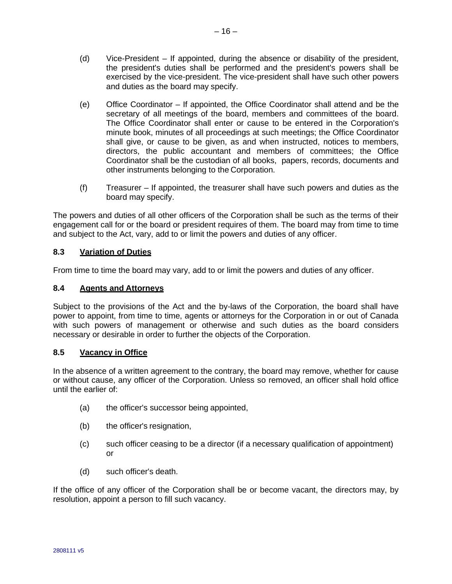- (d) Vice-President If appointed, during the absence or disability of the president, the president's duties shall be performed and the president's powers shall be exercised by the vice-president. The vice-president shall have such other powers and duties as the board may specify.
- (e) Office Coordinator If appointed, the Office Coordinator shall attend and be the secretary of all meetings of the board, members and committees of the board. The Office Coordinator shall enter or cause to be entered in the Corporation's minute book, minutes of all proceedings at such meetings; the Office Coordinator shall give, or cause to be given, as and when instructed, notices to members, directors, the public accountant and members of committees; the Office Coordinator shall be the custodian of all books, papers, records, documents and other instruments belonging to the Corporation.
- (f) Treasurer If appointed, the treasurer shall have such powers and duties as the board may specify.

The powers and duties of all other officers of the Corporation shall be such as the terms of their engagement call for or the board or president requires of them. The board may from time to time and subject to the Act, vary, add to or limit the powers and duties of any officer.

# **8.3 Variation of Duties**

From time to time the board may vary, add to or limit the powers and duties of any officer.

## **8.4 Agents and Attorneys**

Subject to the provisions of the Act and the by-laws of the Corporation, the board shall have power to appoint, from time to time, agents or attorneys for the Corporation in or out of Canada with such powers of management or otherwise and such duties as the board considers necessary or desirable in order to further the objects of the Corporation.

## **8.5 Vacancy in Office**

In the absence of a written agreement to the contrary, the board may remove, whether for cause or without cause, any officer of the Corporation. Unless so removed, an officer shall hold office until the earlier of:

- (a) the officer's successor being appointed,
- (b) the officer's resignation,
- (c) such officer ceasing to be a director (if a necessary qualification of appointment) or
- (d) such officer's death.

If the office of any officer of the Corporation shall be or become vacant, the directors may, by resolution, appoint a person to fill such vacancy.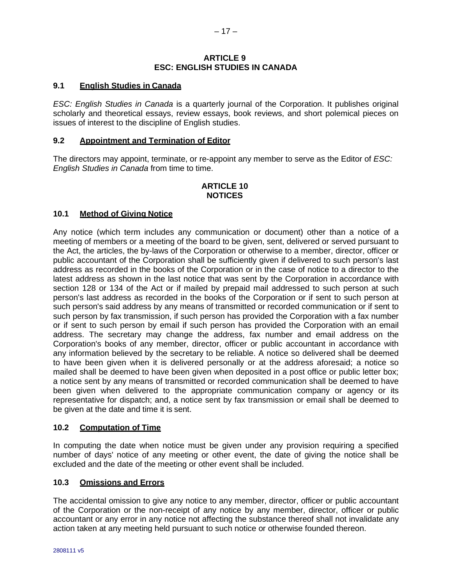## **ARTICLE 9 ESC: ENGLISH STUDIES IN CANADA**

# **9.1 English Studies in Canada**

*ESC: English Studies in Canada* is a quarterly journal of the Corporation. It publishes original scholarly and theoretical essays, review essays, book reviews, and short polemical pieces on issues of interest to the discipline of English studies.

#### **9.2 Appointment and Termination of Editor**

The directors may appoint, terminate, or re-appoint any member to serve as the Editor of *ESC: English Studies in Canada* from time to time.

# **ARTICLE 10 NOTICES**

#### **10.1 Method of Giving Notice**

Any notice (which term includes any communication or document) other than a notice of a meeting of members or a meeting of the board to be given, sent, delivered or served pursuant to the Act, the articles, the by-laws of the Corporation or otherwise to a member, director, officer or public accountant of the Corporation shall be sufficiently given if delivered to such person's last address as recorded in the books of the Corporation or in the case of notice to a director to the latest address as shown in the last notice that was sent by the Corporation in accordance with section 128 or 134 of the Act or if mailed by prepaid mail addressed to such person at such person's last address as recorded in the books of the Corporation or if sent to such person at such person's said address by any means of transmitted or recorded communication or if sent to such person by fax transmission, if such person has provided the Corporation with a fax number or if sent to such person by email if such person has provided the Corporation with an email address. The secretary may change the address, fax number and email address on the Corporation's books of any member, director, officer or public accountant in accordance with any information believed by the secretary to be reliable. A notice so delivered shall be deemed to have been given when it is delivered personally or at the address aforesaid; a notice so mailed shall be deemed to have been given when deposited in a post office or public letter box; a notice sent by any means of transmitted or recorded communication shall be deemed to have been given when delivered to the appropriate communication company or agency or its representative for dispatch; and, a notice sent by fax transmission or email shall be deemed to be given at the date and time it is sent.

#### **10.2 Computation of Time**

In computing the date when notice must be given under any provision requiring a specified number of days' notice of any meeting or other event, the date of giving the notice shall be excluded and the date of the meeting or other event shall be included.

#### **10.3 Omissions and Errors**

The accidental omission to give any notice to any member, director, officer or public accountant of the Corporation or the non-receipt of any notice by any member, director, officer or public accountant or any error in any notice not affecting the substance thereof shall not invalidate any action taken at any meeting held pursuant to such notice or otherwise founded thereon.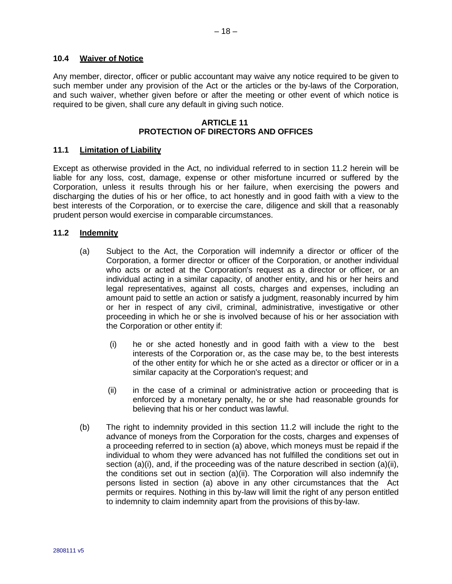## **10.4 Waiver of Notice**

Any member, director, officer or public accountant may waive any notice required to be given to such member under any provision of the Act or the articles or the by-laws of the Corporation, and such waiver, whether given before or after the meeting or other event of which notice is required to be given, shall cure any default in giving such notice.

#### **ARTICLE 11 PROTECTION OF DIRECTORS AND OFFICES**

## **11.1 Limitation of Liability**

Except as otherwise provided in the Act, no individual referred to in section [11.2](#page-17-0) herein will be liable for any loss, cost, damage, expense or other misfortune incurred or suffered by the Corporation, unless it results through his or her failure, when exercising the powers and discharging the duties of his or her office, to act honestly and in good faith with a view to the best interests of the Corporation, or to exercise the care, diligence and skill that a reasonably prudent person would exercise in comparable circumstances.

#### <span id="page-17-1"></span><span id="page-17-0"></span>**11.2 Indemnity**

- (a) Subject to the Act, the Corporation will indemnify a director or officer of the Corporation, a former director or officer of the Corporation, or another individual who acts or acted at the Corporation's request as a director or officer, or an individual acting in a similar capacity, of another entity, and his or her heirs and legal representatives, against all costs, charges and expenses, including an amount paid to settle an action or satisfy a judgment, reasonably incurred by him or her in respect of any civil, criminal, administrative, investigative or other proceeding in which he or she is involved because of his or her association with the Corporation or other entity if:
	- (i) he or she acted honestly and in good faith with a view to the best interests of the Corporation or, as the case may be, to the best interests of the other entity for which he or she acted as a director or officer or in a similar capacity at the Corporation's request; and
	- (ii) in the case of a criminal or administrative action or proceeding that is enforced by a monetary penalty, he or she had reasonable grounds for believing that his or her conduct was lawful.
- <span id="page-17-3"></span><span id="page-17-2"></span>(b) The right to indemnity provided in this section [11.2](#page-17-0) will include the right to the advance of moneys from the Corporation for the costs, charges and expenses of a proceeding referred to in section [\(a\)](#page-17-1) above, which moneys must be repaid if the individual to whom they were advanced has not fulfilled the conditions set out in section  $(a)(i)$ , and, if the proceeding was of the nature described in section  $(a)(ii)$ , the conditions set out in section  $(a)(ii)$ . The Corporation will also indemnify the persons listed in section [\(a\)](#page-17-1) above in any other circumstances that the Act permits or requires. Nothing in this by-law will limit the right of any person entitled to indemnity to claim indemnity apart from the provisions of this by-law.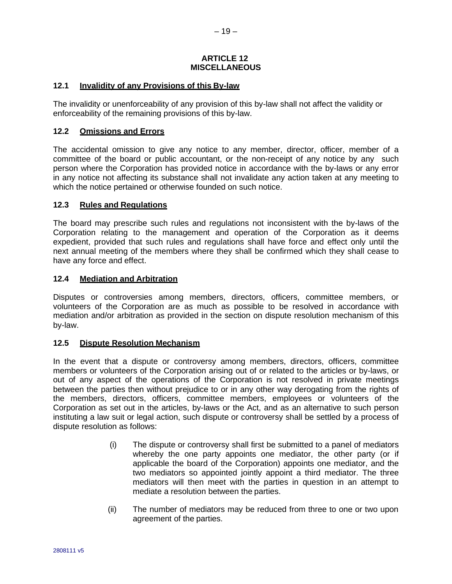#### **ARTICLE 12 MISCELLANEOUS**

## **12.1 Invalidity of any Provisions of this By-law**

The invalidity or unenforceability of any provision of this by-law shall not affect the validity or enforceability of the remaining provisions of this by-law.

## **12.2 Omissions and Errors**

The accidental omission to give any notice to any member, director, officer, member of a committee of the board or public accountant, or the non-receipt of any notice by any such person where the Corporation has provided notice in accordance with the by-laws or any error in any notice not affecting its substance shall not invalidate any action taken at any meeting to which the notice pertained or otherwise founded on such notice.

## **12.3 Rules and Regulations**

The board may prescribe such rules and regulations not inconsistent with the by-laws of the Corporation relating to the management and operation of the Corporation as it deems expedient, provided that such rules and regulations shall have force and effect only until the next annual meeting of the members where they shall be confirmed which they shall cease to have any force and effect.

## **12.4 Mediation and Arbitration**

Disputes or controversies among members, directors, officers, committee members, or volunteers of the Corporation are as much as possible to be resolved in accordance with mediation and/or arbitration as provided in the section on dispute resolution mechanism of this by-law.

## **12.5 Dispute Resolution Mechanism**

In the event that a dispute or controversy among members, directors, officers, committee members or volunteers of the Corporation arising out of or related to the articles or by-laws, or out of any aspect of the operations of the Corporation is not resolved in private meetings between the parties then without prejudice to or in any other way derogating from the rights of the members, directors, officers, committee members, employees or volunteers of the Corporation as set out in the articles, by-laws or the Act, and as an alternative to such person instituting a law suit or legal action, such dispute or controversy shall be settled by a process of dispute resolution as follows:

- (i) The dispute or controversy shall first be submitted to a panel of mediators whereby the one party appoints one mediator, the other party (or if applicable the board of the Corporation) appoints one mediator, and the two mediators so appointed jointly appoint a third mediator. The three mediators will then meet with the parties in question in an attempt to mediate a resolution between the parties.
- (ii) The number of mediators may be reduced from three to one or two upon agreement of the parties.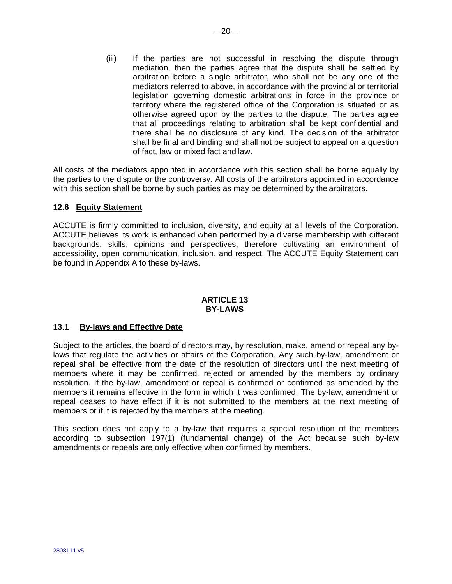(iii) If the parties are not successful in resolving the dispute through mediation, then the parties agree that the dispute shall be settled by arbitration before a single arbitrator, who shall not be any one of the mediators referred to above, in accordance with the provincial or territorial legislation governing domestic arbitrations in force in the province or territory where the registered office of the Corporation is situated or as otherwise agreed upon by the parties to the dispute. The parties agree that all proceedings relating to arbitration shall be kept confidential and there shall be no disclosure of any kind. The decision of the arbitrator shall be final and binding and shall not be subject to appeal on a question of fact, law or mixed fact and law.

All costs of the mediators appointed in accordance with this section shall be borne equally by the parties to the dispute or the controversy. All costs of the arbitrators appointed in accordance with this section shall be borne by such parties as may be determined by the arbitrators.

## **12.6 Equity Statement**

ACCUTE is firmly committed to inclusion, diversity, and equity at all levels of the Corporation. ACCUTE believes its work is enhanced when performed by a diverse membership with different backgrounds, skills, opinions and perspectives, therefore cultivating an environment of accessibility, open communication, inclusion, and respect. The ACCUTE Equity Statement can be found in Appendix A to these by-laws.

# **ARTICLE 13 BY-LAWS**

## **13.1 By-laws and Effective Date**

Subject to the articles, the board of directors may, by resolution, make, amend or repeal any bylaws that regulate the activities or affairs of the Corporation. Any such by-law, amendment or repeal shall be effective from the date of the resolution of directors until the next meeting of members where it may be confirmed, rejected or amended by the members by ordinary resolution. If the by-law, amendment or repeal is confirmed or confirmed as amended by the members it remains effective in the form in which it was confirmed. The by-law, amendment or repeal ceases to have effect if it is not submitted to the members at the next meeting of members or if it is rejected by the members at the meeting.

This section does not apply to a by-law that requires a special resolution of the members according to subsection 197(1) (fundamental change) of the Act because such by-law amendments or repeals are only effective when confirmed by members.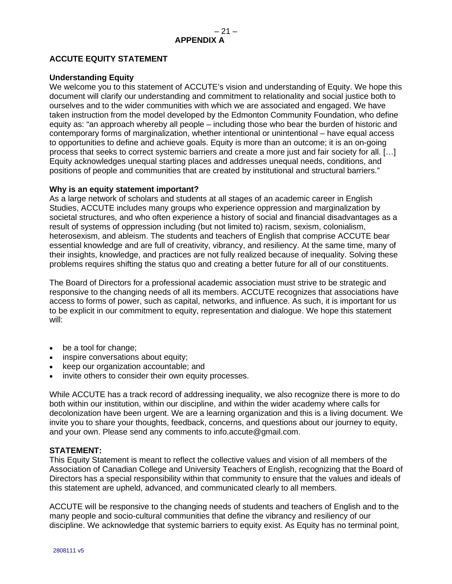# **ACCUTE EQUITY STATEMENT**

## **Understanding Equity**

We welcome you to this statement of ACCUTE's vision and understanding of Equity. We hope this document will clarify our understanding and commitment to relationality and social justice both to ourselves and to the wider communities with which we are associated and engaged. We have taken instruction from the model developed by the Edmonton Community Foundation, who define equity as: "an approach whereby all people – including those who bear the burden of historic and contemporary forms of marginalization, whether intentional or unintentional – have equal access to opportunities to define and achieve goals. Equity is more than an outcome; it is an on-going process that seeks to correct systemic barriers and create a more just and fair society for all. […] Equity acknowledges unequal starting places and addresses unequal needs, conditions, and positions of people and communities that are created by institutional and structural barriers."

## **Why is an equity statement important?**

As a large network of scholars and students at all stages of an academic career in English Studies, ACCUTE includes many groups who experience oppression and marginalization by societal structures, and who often experience a history of social and financial disadvantages as a result of systems of oppression including (but not limited to) racism, sexism, colonialism, heterosexism, and ableism. The students and teachers of English that comprise ACCUTE bear essential knowledge and are full of creativity, vibrancy, and resiliency. At the same time, many of their insights, knowledge, and practices are not fully realized because of inequality. Solving these problems requires shifting the status quo and creating a better future for all of our constituents.

The Board of Directors for a professional academic association must strive to be strategic and responsive to the changing needs of all its members. ACCUTE recognizes that associations have access to forms of power, such as capital, networks, and influence. As such, it is important for us to be explicit in our commitment to equity, representation and dialogue. We hope this statement will:

- be a tool for change;
- inspire conversations about equity;
- keep our organization accountable; and
- invite others to consider their own equity processes.

While ACCUTE has a track record of addressing inequality, we also recognize there is more to do both within our institution, within our discipline, and within the wider academy where calls for decolonization have been urgent. We are a learning organization and this is a living document. We invite you to share your thoughts, feedback, concerns, and questions about our journey to equity, and your own. Please send any comments to info.accute@gmail.com.

## **STATEMENT:**

This Equity Statement is meant to reflect the collective values and vision of all members of the Association of Canadian College and University Teachers of English, recognizing that the Board of Directors has a special responsibility within that community to ensure that the values and ideals of this statement are upheld, advanced, and communicated clearly to all members.

ACCUTE will be responsive to the changing needs of students and teachers of English and to the many people and socio-cultural communities that define the vibrancy and resiliency of our discipline. We acknowledge that systemic barriers to equity exist. As Equity has no terminal point,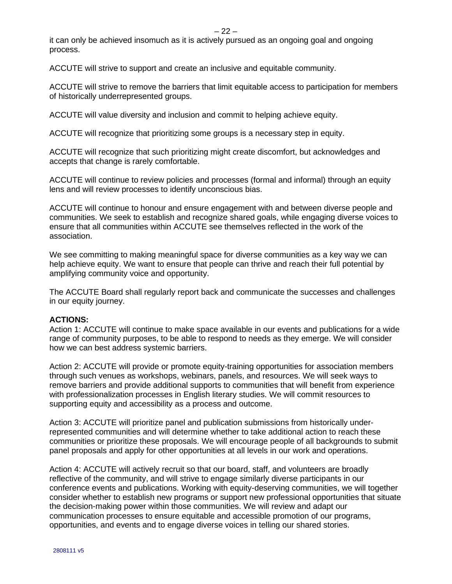it can only be achieved insomuch as it is actively pursued as an ongoing goal and ongoing process.

ACCUTE will strive to support and create an inclusive and equitable community.

ACCUTE will strive to remove the barriers that limit equitable access to participation for members of historically underrepresented groups.

ACCUTE will value diversity and inclusion and commit to helping achieve equity.

ACCUTE will recognize that prioritizing some groups is a necessary step in equity.

ACCUTE will recognize that such prioritizing might create discomfort, but acknowledges and accepts that change is rarely comfortable.

ACCUTE will continue to review policies and processes (formal and informal) through an equity lens and will review processes to identify unconscious bias.

ACCUTE will continue to honour and ensure engagement with and between diverse people and communities. We seek to establish and recognize shared goals, while engaging diverse voices to ensure that all communities within ACCUTE see themselves reflected in the work of the association.

We see committing to making meaningful space for diverse communities as a key way we can help achieve equity. We want to ensure that people can thrive and reach their full potential by amplifying community voice and opportunity.

The ACCUTE Board shall regularly report back and communicate the successes and challenges in our equity journey.

## **ACTIONS:**

Action 1: ACCUTE will continue to make space available in our events and publications for a wide range of community purposes, to be able to respond to needs as they emerge. We will consider how we can best address systemic barriers.

Action 2: ACCUTE will provide or promote equity-training opportunities for association members through such venues as workshops, webinars, panels, and resources. We will seek ways to remove barriers and provide additional supports to communities that will benefit from experience with professionalization processes in English literary studies. We will commit resources to supporting equity and accessibility as a process and outcome.

Action 3: ACCUTE will prioritize panel and publication submissions from historically underrepresented communities and will determine whether to take additional action to reach these communities or prioritize these proposals. We will encourage people of all backgrounds to submit panel proposals and apply for other opportunities at all levels in our work and operations.

Action 4: ACCUTE will actively recruit so that our board, staff, and volunteers are broadly reflective of the community, and will strive to engage similarly diverse participants in our conference events and publications. Working with equity-deserving communities, we will together consider whether to establish new programs or support new professional opportunities that situate the decision-making power within those communities. We will review and adapt our communication processes to ensure equitable and accessible promotion of our programs, opportunities, and events and to engage diverse voices in telling our shared stories.